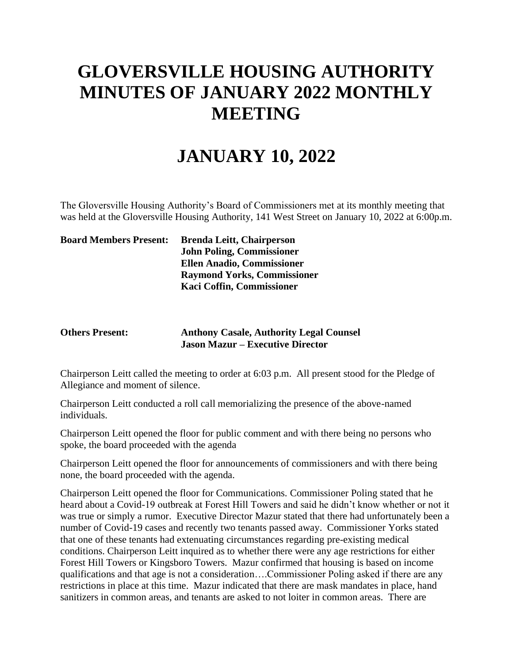## **GLOVERSVILLE HOUSING AUTHORITY MINUTES OF JANUARY 2022 MONTHLY MEETING**

## **JANUARY 10, 2022**

The Gloversville Housing Authority's Board of Commissioners met at its monthly meeting that was held at the Gloversville Housing Authority, 141 West Street on January 10, 2022 at 6:00p.m.

| <b>Board Members Present:</b> | <b>Brenda Leitt, Chairperson</b>   |
|-------------------------------|------------------------------------|
|                               | <b>John Poling, Commissioner</b>   |
|                               | <b>Ellen Anadio, Commissioner</b>  |
|                               | <b>Raymond Yorks, Commissioner</b> |
|                               | Kaci Coffin, Commissioner          |
|                               |                                    |

## **Others Present: Anthony Casale, Authority Legal Counsel Jason Mazur – Executive Director**

Chairperson Leitt called the meeting to order at 6:03 p.m. All present stood for the Pledge of Allegiance and moment of silence.

Chairperson Leitt conducted a roll call memorializing the presence of the above-named individuals.

Chairperson Leitt opened the floor for public comment and with there being no persons who spoke, the board proceeded with the agenda

Chairperson Leitt opened the floor for announcements of commissioners and with there being none, the board proceeded with the agenda.

Chairperson Leitt opened the floor for Communications. Commissioner Poling stated that he heard about a Covid-19 outbreak at Forest Hill Towers and said he didn't know whether or not it was true or simply a rumor. Executive Director Mazur stated that there had unfortunately been a number of Covid-19 cases and recently two tenants passed away. Commissioner Yorks stated that one of these tenants had extenuating circumstances regarding pre-existing medical conditions. Chairperson Leitt inquired as to whether there were any age restrictions for either Forest Hill Towers or Kingsboro Towers. Mazur confirmed that housing is based on income qualifications and that age is not a consideration….Commissioner Poling asked if there are any restrictions in place at this time. Mazur indicated that there are mask mandates in place, hand sanitizers in common areas, and tenants are asked to not loiter in common areas. There are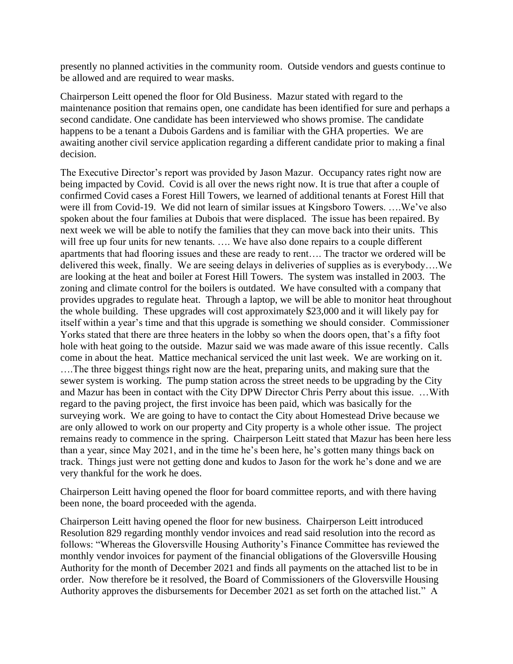presently no planned activities in the community room. Outside vendors and guests continue to be allowed and are required to wear masks.

Chairperson Leitt opened the floor for Old Business. Mazur stated with regard to the maintenance position that remains open, one candidate has been identified for sure and perhaps a second candidate. One candidate has been interviewed who shows promise. The candidate happens to be a tenant a Dubois Gardens and is familiar with the GHA properties. We are awaiting another civil service application regarding a different candidate prior to making a final decision.

The Executive Director's report was provided by Jason Mazur. Occupancy rates right now are being impacted by Covid. Covid is all over the news right now. It is true that after a couple of confirmed Covid cases a Forest Hill Towers, we learned of additional tenants at Forest Hill that were ill from Covid-19. We did not learn of similar issues at Kingsboro Towers. ….We've also spoken about the four families at Dubois that were displaced. The issue has been repaired. By next week we will be able to notify the families that they can move back into their units. This will free up four units for new tenants. .... We have also done repairs to a couple different apartments that had flooring issues and these are ready to rent…. The tractor we ordered will be delivered this week, finally. We are seeing delays in deliveries of supplies as is everybody….We are looking at the heat and boiler at Forest Hill Towers. The system was installed in 2003. The zoning and climate control for the boilers is outdated. We have consulted with a company that provides upgrades to regulate heat. Through a laptop, we will be able to monitor heat throughout the whole building. These upgrades will cost approximately \$23,000 and it will likely pay for itself within a year's time and that this upgrade is something we should consider. Commissioner Yorks stated that there are three heaters in the lobby so when the doors open, that's a fifty foot hole with heat going to the outside. Mazur said we was made aware of this issue recently. Calls come in about the heat. Mattice mechanical serviced the unit last week. We are working on it. ….The three biggest things right now are the heat, preparing units, and making sure that the sewer system is working. The pump station across the street needs to be upgrading by the City and Mazur has been in contact with the City DPW Director Chris Perry about this issue. …With regard to the paving project, the first invoice has been paid, which was basically for the surveying work. We are going to have to contact the City about Homestead Drive because we are only allowed to work on our property and City property is a whole other issue. The project remains ready to commence in the spring. Chairperson Leitt stated that Mazur has been here less than a year, since May 2021, and in the time he's been here, he's gotten many things back on track. Things just were not getting done and kudos to Jason for the work he's done and we are very thankful for the work he does.

Chairperson Leitt having opened the floor for board committee reports, and with there having been none, the board proceeded with the agenda.

Chairperson Leitt having opened the floor for new business. Chairperson Leitt introduced Resolution 829 regarding monthly vendor invoices and read said resolution into the record as follows: "Whereas the Gloversville Housing Authority's Finance Committee has reviewed the monthly vendor invoices for payment of the financial obligations of the Gloversville Housing Authority for the month of December 2021 and finds all payments on the attached list to be in order. Now therefore be it resolved, the Board of Commissioners of the Gloversville Housing Authority approves the disbursements for December 2021 as set forth on the attached list." A